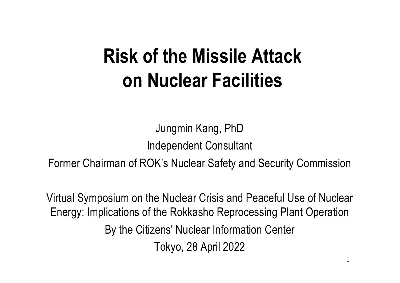# **Risk of the Missile Attack on Nuclear Facilities**

Jungmin Kang, PhD Independent Consultant

Former Chairman of ROK's Nuclear Safety and Security Commission

Virtual Symposium on the Nuclear Crisis and Peaceful Use of Nuclear Energy: Implications of the Rokkasho Reprocessing Plant Operation By the Citizens' Nuclear Information Center Tokyo, 28 April 2022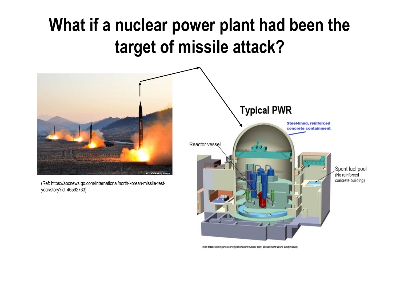## **What if a nuclear power plant had been the target of missile attack?**



(Ref: https://allthingsnuclear.org/dlochbaum/nuclear-plant-containment-failure-overpressure)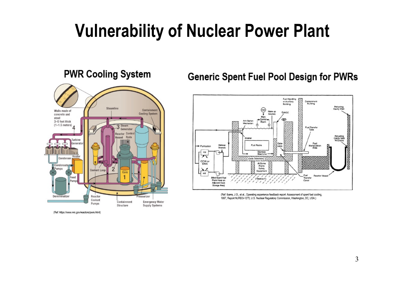## **Vulnerability of Nuclear Power Plant**

#### **PWR Cooling System**



(Ref: https://www.nrc.gov/reactors/pwrs.html)

#### **Generic Spent Fuel Pool Design for PWRs**



<sup>(</sup>Ref: Ibarra, J.G., et al., Operating experience feedback report: Assessment of spent fuel cooling, 1997, Report NUREG-1275, U.S. Nuclear Regulatory Commission, Washington, DC, USA.)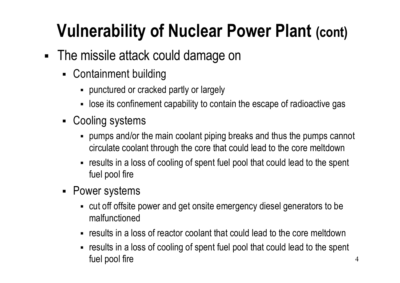# **Vulnerability of Nuclear Power Plant (cont)**

- The missile attack could damage on
	- § Containment building
		- § punctured or cracked partly or largely
		- lose its confinement capability to contain the escape of radioactive gas
	- Cooling systems
		- § pumps and/or the main coolant piping breaks and thus the pumps cannot circulate coolant through the core that could lead to the core meltdown
		- results in a loss of cooling of spent fuel pool that could lead to the spent fuel pool fire
	- § Power systems
		- § cut off offsite power and get onsite emergency diesel generators to be malfunctioned
		- results in a loss of reactor coolant that could lead to the core meltdown
		- results in a loss of cooling of spent fuel pool that could lead to the spent fuel pool fire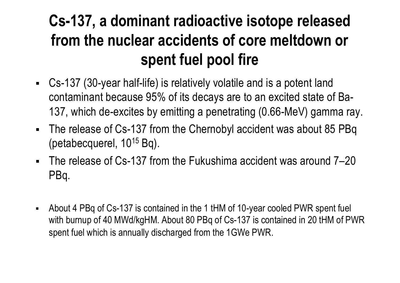#### **Cs-137, a dominant radioactive isotope released from the nuclear accidents of core meltdown or spent fuel pool fire**

- § Cs-137 (30-year half-life) is relatively volatile and is a potent land contaminant because 95% of its decays are to an excited state of Ba-137, which de-excites by emitting a penetrating (0.66-MeV) gamma ray.
- The release of Cs-137 from the Chernobyl accident was about 85 PBq (petabecquerel,  $10^{15}$  Bq).
- The release of Cs-137 from the Fukushima accident was around 7–20 PBq.
- § About 4 PBq of Cs-137 is contained in the 1 tHM of 10-year cooled PWR spent fuel with burnup of 40 MWd/kgHM. About 80 PBq of Cs-137 is contained in 20 tHM of PWR spent fuel which is annually discharged from the 1GWe PWR.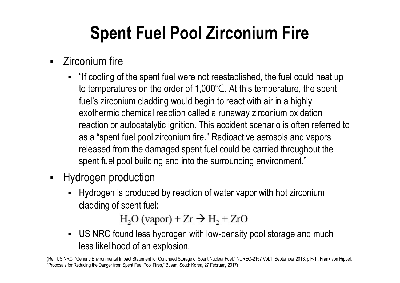# **Spent Fuel Pool Zirconium Fire**

- Zirconium fire
	- § "If cooling of the spent fuel were not reestablished, the fuel could heat up to temperatures on the order of 1,000℃. At this temperature, the spent fuel's zirconium cladding would begin to react with air in a highly exothermic chemical reaction called a runaway zirconium oxidation reaction or autocatalytic ignition. This accident scenario is often referred to as a "spent fuel pool zirconium fire." Radioactive aerosols and vapors released from the damaged spent fuel could be carried throughout the spent fuel pool building and into the surrounding environment."
- **■** Hydrogen production
	- § Hydrogen is produced by reaction of water vapor with hot zirconium cladding of spent fuel:

 $H<sub>2</sub>O (vapor) + Zr \rightarrow H<sub>2</sub> + ZrO$ 

• US NRC found less hydrogen with low-density pool storage and much less likelihood of an explosion.

(Ref: US NRC, "Generic Environmental Impact Statement for Continued Storage of Spent Nuclear Fuel," NUREG-2157 Vol.1, September 2013, p.F-1.; Frank von Hippel, "Proposals for Reducing the Danger from Spent Fuel Pool Fires," Busan, South Korea, 27 February 2017)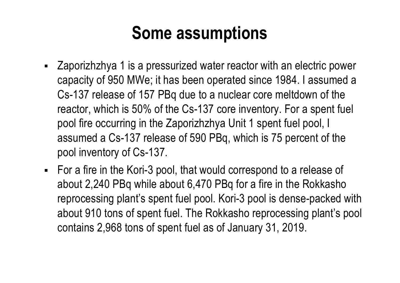### **Some assumptions**

- § Zaporizhzhya 1 is a pressurized water reactor with an electric power capacity of 950 MWe; it has been operated since 1984. I assumed a Cs-137 release of 157 PBq due to a nuclear core meltdown of the reactor, which is 50% of the Cs-137 core inventory. For a spent fuel pool fire occurring in the Zaporizhzhya Unit 1 spent fuel pool, I assumed a Cs-137 release of 590 PBq, which is 75 percent of the pool inventory of Cs-137.
- For a fire in the Kori-3 pool, that would correspond to a release of about 2,240 PBq while about 6,470 PBq for a fire in the Rokkasho reprocessing plant's spent fuel pool. Kori-3 pool is dense-packed with about 910 tons of spent fuel. The Rokkasho reprocessing plant's pool contains 2,968 tons of spent fuel as of January 31, 2019.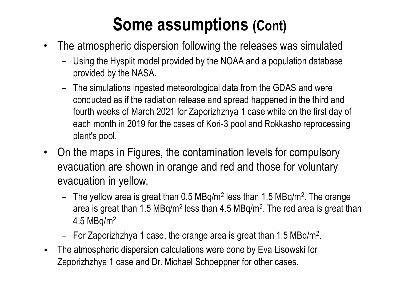## **Some assumptions (Cont)**

- The atmospheric dispersion following the releases was simulated
	- Using the Hysplit model provided by the NOAA and a population database provided by the NASA.
	- The simulations ingested meteorological data from the GDAS and were conducted as if the radiation release and spread happened in the third and fourth weeks of March 2021 for Zaporizhzhya 1 case while on the first day of each month in 2019 for the cases of Kori-3 pool and Rokkasho reprocessing plant's pool.
- On the maps in Figures, the contamination levels for compulsory evacuation are shown in orange and red and those for voluntary evacuation in yellow.
	- The yellow area is great than  $0.5$  MBq/m<sup>2</sup> less than  $1.5$  MBq/m<sup>2</sup>. The orange area is great than 1.5 MBq/m2 less than 4.5 MBq/m2. The red area is great than 4.5 MBq/m2
	- $-$  For Zaporizhzhya 1 case, the orange area is great than 1.5 MBq/m<sup>2</sup>.
- The atmospheric dispersion calculations were done by Eva Lisowski for Zaporizhzhya 1 case and Dr. Michael Schoeppner for other cases.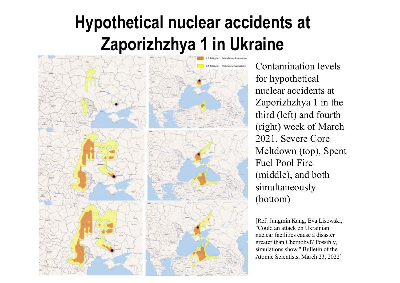## **Hypothetical nuclear accidents at Zaporizhzhya 1 in Ukraine**



Contamination levels for hypothetical nuclear accidents at Zaporizhzhya 1 in the third (left) and fourth (right) week of March 2021. Severe Core Meltdown (top), Spent Fuel Pool Fire (middle), and both simultaneously (bottom)

[Ref: Jungmin Kang, Eva Lisowski, "Could an attack on Ukrainian nuclear facilities cause a disaster greater than Chernobyl? Possibly, simulations show." Bulletin of the Atomic Scientists, March 23, 2022]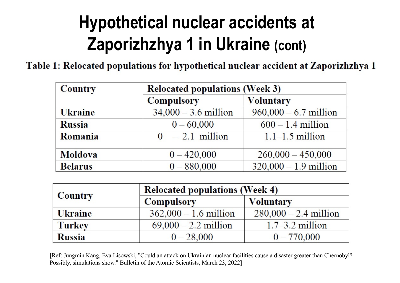# **Hypothetical nuclear accidents at Zaporizhzhya 1 in Ukraine (cont)**

Table 1: Relocated populations for hypothetical nuclear accident at Zaporizhzhya 1

| <b>Country</b> | <b>Relocated populations (Week 3)</b> |                         |  |  |
|----------------|---------------------------------------|-------------------------|--|--|
|                | <b>Compulsory</b>                     | <b>Voluntary</b>        |  |  |
| <b>Ukraine</b> | $34,000 - 3.6$ million                | $960,000 - 6.7$ million |  |  |
| <b>Russia</b>  | $0 - 60,000$                          | $600 - 1.4$ million     |  |  |
| Romania        | $0 - 2.1$ million                     | $1.1-1.5$ million       |  |  |
| <b>Moldova</b> | $0 - 420,000$                         | $260,000 - 450,000$     |  |  |
| <b>Belarus</b> | $0 - 880,000$                         | $320,000 - 1.9$ million |  |  |

| Country        | <b>Relocated populations (Week 4)</b> |                         |  |
|----------------|---------------------------------------|-------------------------|--|
|                | <b>Compulsory</b>                     | <b>Voluntary</b>        |  |
| <b>Ukraine</b> | $362,000 - 1.6$ million               | $280,000 - 2.4$ million |  |
| <b>Turkey</b>  | $69,000 - 2.2$ million                | $1.7-3.2$ million       |  |
| <b>Russia</b>  | $0 - 28,000$                          | $0 - 770,000$           |  |

[Ref: Jungmin Kang, Eva Lisowski, "Could an attack on Ukrainian nuclear facilities cause a disaster greater than Chernobyl? Possibly, simulations show." Bulletin of the Atomic Scientists, March 23, 2022]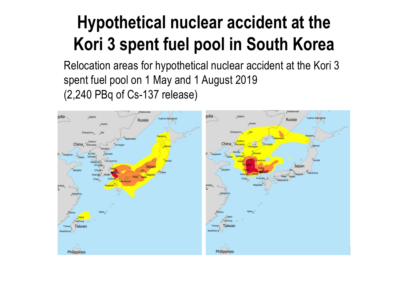# **Hypothetical nuclear accident at the Kori 3 spent fuel pool in South Korea**

Relocation areas for hypothetical nuclear accident at the Kori 3 spent fuel pool on 1 May and 1 August 2019 (2,240 PBq of Cs-137 release)

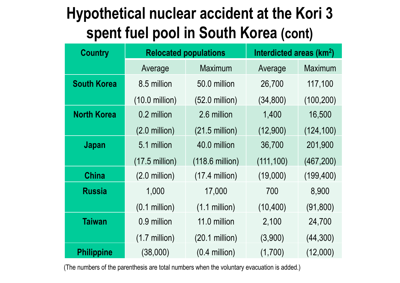#### **Hypothetical nuclear accident at the Kori 3 spent fuel pool in South Korea (cont)**

| <b>Country</b>     |                          | <b>Relocated populations</b> | Interdicted areas (km <sup>2</sup> ) |                |
|--------------------|--------------------------|------------------------------|--------------------------------------|----------------|
|                    | Average                  | <b>Maximum</b>               | Average                              | <b>Maximum</b> |
| <b>South Korea</b> | 8.5 million              | 50.0 million                 | 26,700                               | 117,100        |
|                    | $(10.0 \text{ million})$ | $(52.0 \text{ million})$     | (34, 800)                            | (100, 200)     |
| <b>North Korea</b> | 0.2 million              | 2.6 million                  | 1,400                                | 16,500         |
|                    | $(2.0 \text{ million})$  | $(21.5 \text{ million})$     | (12,900)                             | (124, 100)     |
| Japan              | 5.1 million              | 40.0 million                 | 36,700                               | 201,900        |
|                    | $(17.5$ million)         | $(118.6 \text{ million})$    | (111, 100)                           | (467, 200)     |
| <b>China</b>       | $(2.0 \text{ million})$  | $(17.4$ million)             | (19,000)                             | (199, 400)     |
| <b>Russia</b>      | 1,000                    | 17,000                       | 700                                  | 8,900          |
|                    | $(0.1$ million)          | $(1.1$ million)              | (10, 400)                            | (91, 800)      |
| <b>Taiwan</b>      | 0.9 million              | 11.0 million                 | 2,100                                | 24,700         |
|                    | $(1.7$ million)          | $(20.1$ million)             | (3,900)                              | (44,300)       |
| <b>Philippine</b>  | (38,000)                 | $(0.4$ million)              | (1,700)                              | (12,000)       |

(The numbers of the parenthesis are total numbers when the voluntary evacuation is added.)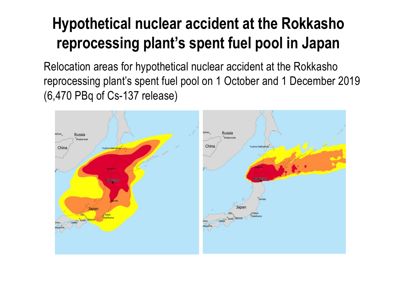#### **Hypothetical nuclear accident at the Rokkasho reprocessing plant's spent fuel pool in Japan**

Relocation areas for hypothetical nuclear accident at the Rokkasho reprocessing plant's spent fuel pool on 1 October and 1 December 2019 (6,470 PBq of Cs-137 release)

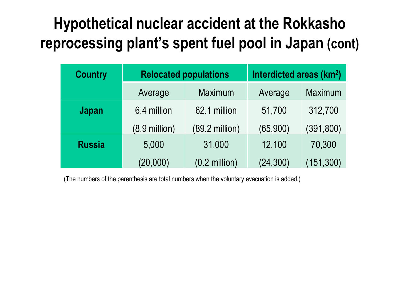#### **Hypothetical nuclear accident at the Rokkasho reprocessing plant's spent fuel pool in Japan (cont)**

| <b>Country</b> | <b>Relocated populations</b> |                          | Interdicted areas (km <sup>2</sup> ) |            |
|----------------|------------------------------|--------------------------|--------------------------------------|------------|
|                | Average                      | Maximum                  | Average                              | Maximum    |
| <b>Japan</b>   | 6.4 million                  | 62.1 million             | 51,700                               | 312,700    |
|                | $(8.9 \text{ million})$      | $(89.2 \text{ million})$ | (65,900)                             | (391, 800) |
| <b>Russia</b>  | 5,000                        | 31,000                   | 12,100                               | 70,300     |
|                | (20,000)                     | $(0.2 \text{ million})$  | (24, 300)                            | (151, 300) |

(The numbers of the parenthesis are total numbers when the voluntary evacuation is added.)